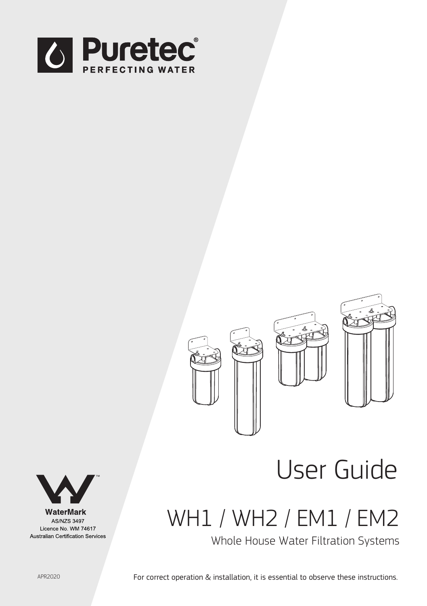



# User Guide

WH1 / WH2 / EM1 / EM2

Whole House Water Filtration Systems



WaterMark **AS/NZS 3497** Licence No. WM 74617 Australian Certification Services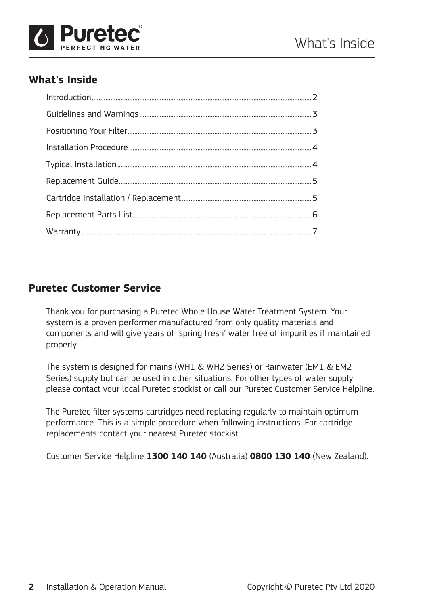

# **What's Inside**

# **Puretec Customer Service**

Thank you for purchasing a Puretec Whole House Water Treatment System. Your system is a proven performer manufactured from only quality materials and components and will give years of 'spring fresh' water free of impurities if maintained properly.

The system is designed for mains (WH1 & WH2 Series) or Rainwater (EM1 & EM2 Series) supply but can be used in other situations. For other types of water supply please contact your local Puretec stockist or call our Puretec Customer Service Helpline.

The Puretec filter systems cartridges need replacing regularly to maintain optimum performance. This is a simple procedure when following instructions. For cartridge replacements contact your nearest Puretec stockist.

Customer Service Helpline **1300 140 140** (Australia) **0800 130 140** (New Zealand).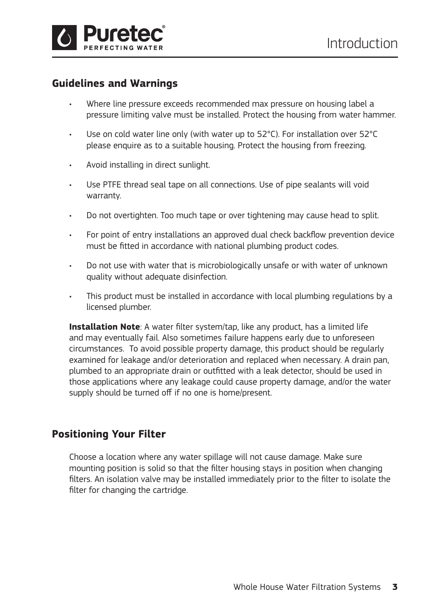

## **Guidelines and Warnings**

- Where line pressure exceeds recommended max pressure on housing label a pressure limiting valve must be installed. Protect the housing from water hammer.
- Use on cold water line only (with water up to 52°C). For installation over 52°C please enquire as to a suitable housing. Protect the housing from freezing.
- Avoid installing in direct sunlight.
- Use PTFE thread seal tape on all connections. Use of pipe sealants will void warranty.
- Do not overtighten. Too much tape or over tightening may cause head to split.
- For point of entry installations an approved dual check backflow prevention device must be fitted in accordance with national plumbing product codes.
- Do not use with water that is microbiologically unsafe or with water of unknown quality without adequate disinfection.
- This product must be installed in accordance with local plumbing regulations by a licensed plumber.

**Installation Note**: A water filter system/tap, like any product, has a limited life and may eventually fail. Also sometimes failure happens early due to unforeseen circumstances. To avoid possible property damage, this product should be regularly examined for leakage and/or deterioration and replaced when necessary. A drain pan, plumbed to an appropriate drain or outfitted with a leak detector, should be used in those applications where any leakage could cause property damage, and/or the water supply should be turned off if no one is home/present.

#### **Positioning Your Filter**

Choose a location where any water spillage will not cause damage. Make sure mounting position is solid so that the filter housing stays in position when changing filters. An isolation valve may be installed immediately prior to the filter to isolate the filter for changing the cartridge.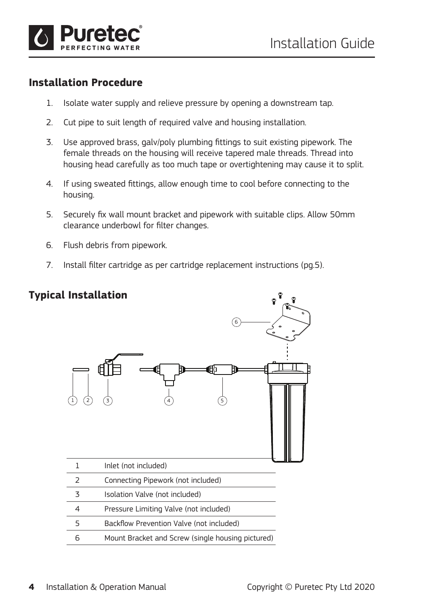

## **Installation Procedure**

- 1. Isolate water supply and relieve pressure by opening a downstream tap.
- 2. Cut pipe to suit length of required valve and housing installation.
- 3. Use approved brass, galv/poly plumbing fittings to suit existing pipework. The female threads on the housing will receive tapered male threads. Thread into housing head carefully as too much tape or overtightening may cause it to split.
- 4. If using sweated fittings, allow enough time to cool before connecting to the housing.
- 5. Securely fix wall mount bracket and pipework with suitable clips. Allow 50mm clearance underbowl for filter changes.
- 6. Flush debris from pipework.
- 7. Install filter cartridge as per cartridge replacement instructions (pg.5).

## **Typical Installation**

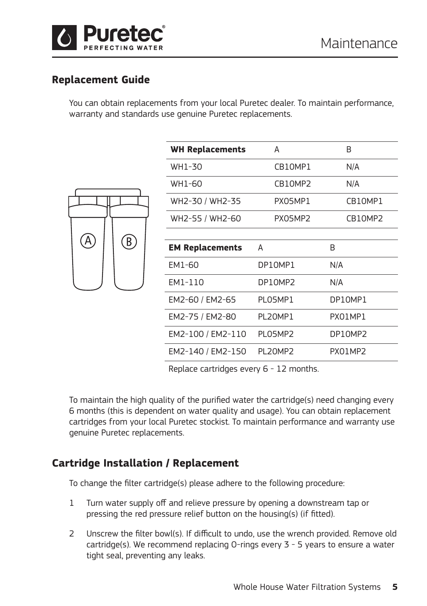

## **Replacement Guide**

You can obtain replacements from your local Puretec dealer. To maintain performance, warranty and standards use genuine Puretec replacements.

| $\mathbf{A}$ | $\bigcirc$ |
|--------------|------------|
|              |            |

| <b>WH Replacements</b> | А       | B       |
|------------------------|---------|---------|
| WH1-30                 | CB10MP1 | N/A     |
| WH1-60                 | CB10MP2 | N/A     |
| WH2-30 / WH2-35        | PX05MP1 | CB10MP1 |
| WH2-55 / WH2-60        | PX05MP2 | CB10MP2 |
|                        |         |         |
| <b>EM Replacements</b> | A       | B       |
| EM1-60                 | DP10MP1 | N/A     |
| EM1-110                | DP10MP2 | N/A     |
| EM2-60 / EM2-65        | PLO5MP1 | DP10MP1 |
| EM2-75 / EM2-80        | PL20MP1 | PX01MP1 |
| EM2-100 / EM2-110      | PLO5MP2 | DP10MP2 |
| EM2-140 / EM2-150      | PL20MP2 | PX01MP2 |

Replace cartridges every 6 - 12 months.

To maintain the high quality of the purified water the cartridge(s) need changing every 6 months (this is dependent on water quality and usage). You can obtain replacement cartridges from your local Puretec stockist. To maintain performance and warranty use genuine Puretec replacements.

## **Cartridge Installation / Replacement**

To change the filter cartridge(s) please adhere to the following procedure:

- 1 Turn water supply off and relieve pressure by opening a downstream tap or pressing the red pressure relief button on the housing(s) (if fitted).
- 2 Unscrew the filter bowl(s). If difficult to undo, use the wrench provided. Remove old cartridge(s). We recommend replacing O-rings every 3 - 5 years to ensure a water tight seal, preventing any leaks.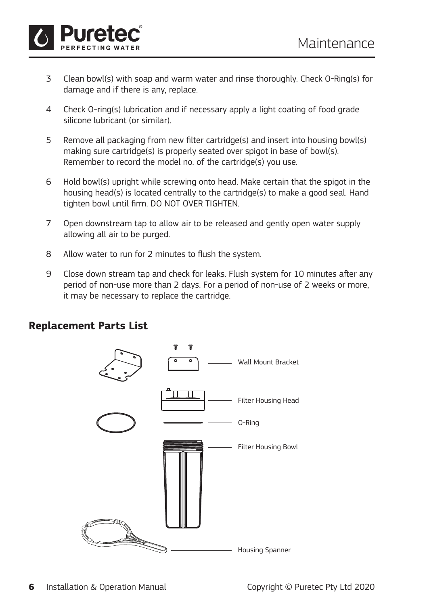

- 3 Clean bowl(s) with soap and warm water and rinse thoroughly. Check O-Ring(s) for damage and if there is any, replace.
- 4 Check O-ring(s) lubrication and if necessary apply a light coating of food grade silicone lubricant (or similar).
- 5 Remove all packaging from new filter cartridge(s) and insert into housing bowl(s) making sure cartridge(s) is properly seated over spigot in base of bowl(s). Remember to record the model no. of the cartridge(s) you use.
- 6 Hold bowl(s) upright while screwing onto head. Make certain that the spigot in the housing head(s) is located centrally to the cartridge(s) to make a good seal. Hand tighten bowl until firm. DO NOT OVER TIGHTEN.
- 7 Open downstream tap to allow air to be released and gently open water supply allowing all air to be purged.
- 8 Allow water to run for 2 minutes to flush the system.
- 9 Close down stream tap and check for leaks. Flush system for 10 minutes after any period of non-use more than 2 days. For a period of non-use of 2 weeks or more, it may be necessary to replace the cartridge.



#### **Replacement Parts List**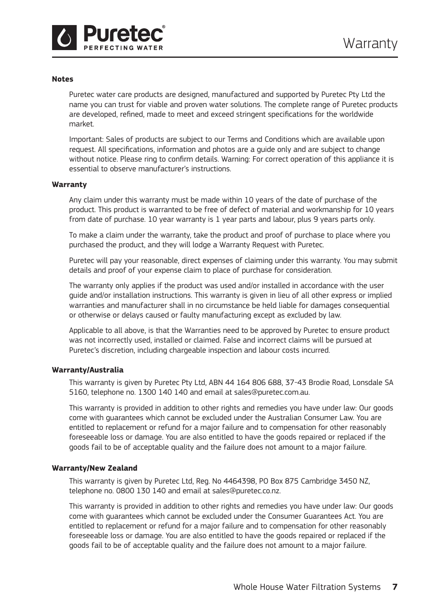

#### **Notes**

Puretec water care products are designed, manufactured and supported by Puretec Pty Ltd the name you can trust for viable and proven water solutions. The complete range of Puretec products are developed, refined, made to meet and exceed stringent specifications for the worldwide market.

Important: Sales of products are subject to our Terms and Conditions which are available upon request. All specifications, information and photos are a guide only and are subject to change without notice. Please ring to confirm details. Warning: For correct operation of this appliance it is essential to observe manufacturer's instructions.

#### **Warranty**

Any claim under this warranty must be made within 10 years of the date of purchase of the product. This product is warranted to be free of defect of material and workmanship for 10 years from date of purchase. 10 year warranty is 1 year parts and labour, plus 9 years parts only.

To make a claim under the warranty, take the product and proof of purchase to place where you purchased the product, and they will lodge a Warranty Request with Puretec.

Puretec will pay your reasonable, direct expenses of claiming under this warranty. You may submit details and proof of your expense claim to place of purchase for consideration.

The warranty only applies if the product was used and/or installed in accordance with the user guide and/or installation instructions. This warranty is given in lieu of all other express or implied warranties and manufacturer shall in no circumstance be held liable for damages consequential or otherwise or delays caused or faulty manufacturing except as excluded by law.

Applicable to all above, is that the Warranties need to be approved by Puretec to ensure product was not incorrectly used, installed or claimed. False and incorrect claims will be pursued at Puretec's discretion, including chargeable inspection and labour costs incurred.

#### **Warranty/Australia**

This warranty is given by Puretec Pty Ltd, ABN 44 164 806 688, 37-43 Brodie Road, Lonsdale SA 5160, telephone no. 1300 140 140 and email at sales@puretec.com.au.

This warranty is provided in addition to other rights and remedies you have under law: Our goods come with guarantees which cannot be excluded under the Australian Consumer Law. You are entitled to replacement or refund for a major failure and to compensation for other reasonably foreseeable loss or damage. You are also entitled to have the goods repaired or replaced if the goods fail to be of acceptable quality and the failure does not amount to a major failure.

#### **Warranty/New Zealand**

This warranty is given by Puretec Ltd, Reg. No 4464398, PO Box 875 Cambridge 3450 NZ, telephone no. 0800 130 140 and email at sales@puretec.co.nz.

This warranty is provided in addition to other rights and remedies you have under law: Our goods come with guarantees which cannot be excluded under the Consumer Guarantees Act. You are entitled to replacement or refund for a major failure and to compensation for other reasonably foreseeable loss or damage. You are also entitled to have the goods repaired or replaced if the goods fail to be of acceptable quality and the failure does not amount to a major failure.